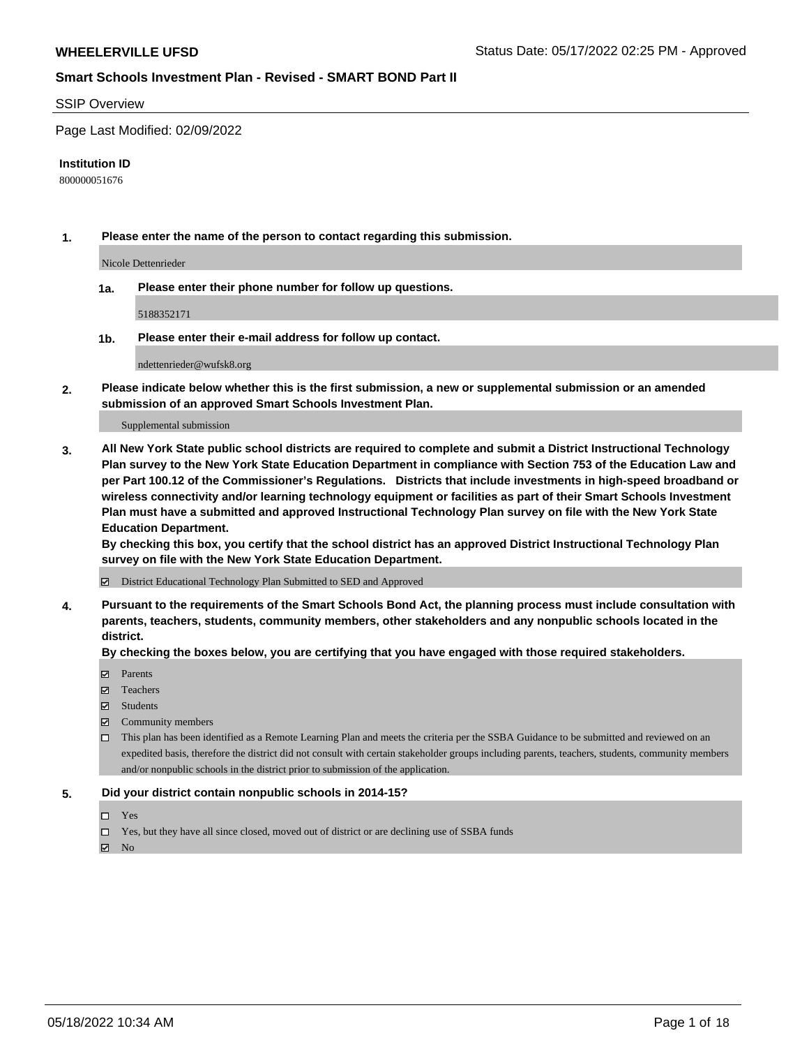#### SSIP Overview

Page Last Modified: 02/09/2022

#### **Institution ID**

800000051676

**1. Please enter the name of the person to contact regarding this submission.**

Nicole Dettenrieder

**1a. Please enter their phone number for follow up questions.**

5188352171

**1b. Please enter their e-mail address for follow up contact.**

ndettenrieder@wufsk8.org

**2. Please indicate below whether this is the first submission, a new or supplemental submission or an amended submission of an approved Smart Schools Investment Plan.**

Supplemental submission

**3. All New York State public school districts are required to complete and submit a District Instructional Technology Plan survey to the New York State Education Department in compliance with Section 753 of the Education Law and per Part 100.12 of the Commissioner's Regulations. Districts that include investments in high-speed broadband or wireless connectivity and/or learning technology equipment or facilities as part of their Smart Schools Investment Plan must have a submitted and approved Instructional Technology Plan survey on file with the New York State Education Department.** 

**By checking this box, you certify that the school district has an approved District Instructional Technology Plan survey on file with the New York State Education Department.**

District Educational Technology Plan Submitted to SED and Approved

**4. Pursuant to the requirements of the Smart Schools Bond Act, the planning process must include consultation with parents, teachers, students, community members, other stakeholders and any nonpublic schools located in the district.** 

**By checking the boxes below, you are certifying that you have engaged with those required stakeholders.**

- $\blacksquare$  Parents
- Teachers
- Students
- $\Xi$  Community members
- This plan has been identified as a Remote Learning Plan and meets the criteria per the SSBA Guidance to be submitted and reviewed on an expedited basis, therefore the district did not consult with certain stakeholder groups including parents, teachers, students, community members and/or nonpublic schools in the district prior to submission of the application.

#### **5. Did your district contain nonpublic schools in 2014-15?**

- Yes
- $\Box$  Yes, but they have all since closed, moved out of district or are declining use of SSBA funds

 $\boxtimes$  No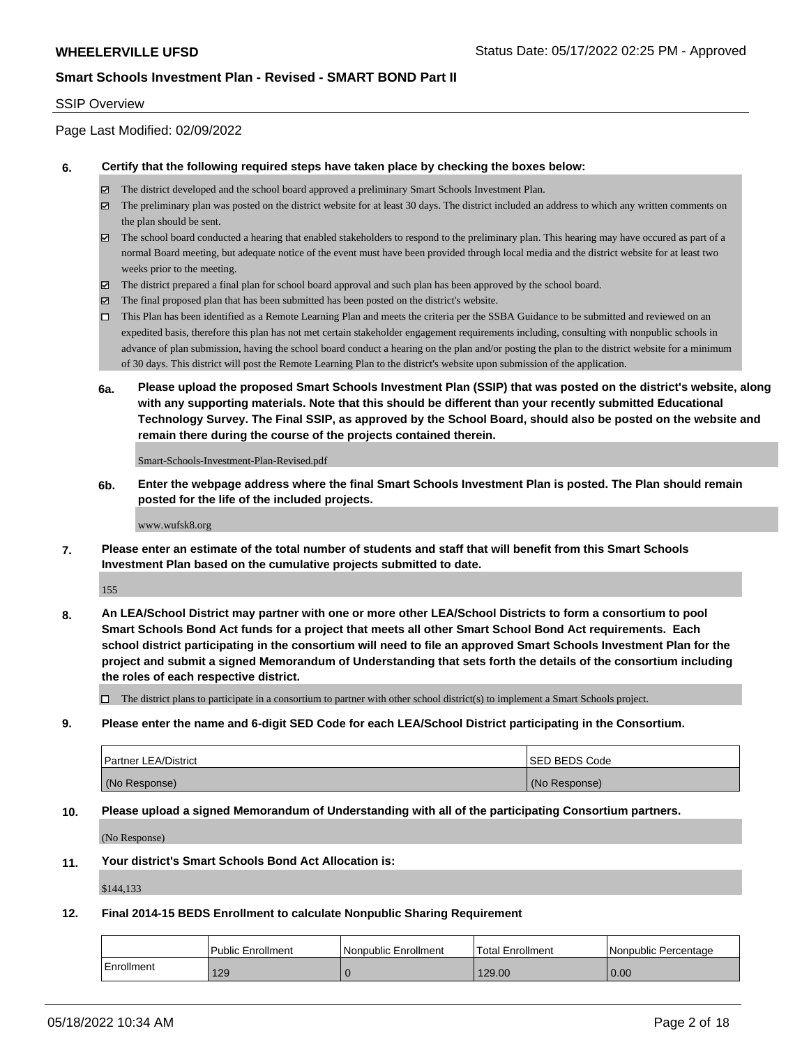### SSIP Overview

Page Last Modified: 02/09/2022

#### **6. Certify that the following required steps have taken place by checking the boxes below:**

- The district developed and the school board approved a preliminary Smart Schools Investment Plan.
- $\boxtimes$  The preliminary plan was posted on the district website for at least 30 days. The district included an address to which any written comments on the plan should be sent.
- $\boxtimes$  The school board conducted a hearing that enabled stakeholders to respond to the preliminary plan. This hearing may have occured as part of a normal Board meeting, but adequate notice of the event must have been provided through local media and the district website for at least two weeks prior to the meeting.
- The district prepared a final plan for school board approval and such plan has been approved by the school board.
- $\boxtimes$  The final proposed plan that has been submitted has been posted on the district's website.
- This Plan has been identified as a Remote Learning Plan and meets the criteria per the SSBA Guidance to be submitted and reviewed on an expedited basis, therefore this plan has not met certain stakeholder engagement requirements including, consulting with nonpublic schools in advance of plan submission, having the school board conduct a hearing on the plan and/or posting the plan to the district website for a minimum of 30 days. This district will post the Remote Learning Plan to the district's website upon submission of the application.
- **6a. Please upload the proposed Smart Schools Investment Plan (SSIP) that was posted on the district's website, along with any supporting materials. Note that this should be different than your recently submitted Educational Technology Survey. The Final SSIP, as approved by the School Board, should also be posted on the website and remain there during the course of the projects contained therein.**

Smart-Schools-Investment-Plan-Revised.pdf

**6b. Enter the webpage address where the final Smart Schools Investment Plan is posted. The Plan should remain posted for the life of the included projects.**

www.wufsk8.org

**7. Please enter an estimate of the total number of students and staff that will benefit from this Smart Schools Investment Plan based on the cumulative projects submitted to date.**

155

**8. An LEA/School District may partner with one or more other LEA/School Districts to form a consortium to pool Smart Schools Bond Act funds for a project that meets all other Smart School Bond Act requirements. Each school district participating in the consortium will need to file an approved Smart Schools Investment Plan for the project and submit a signed Memorandum of Understanding that sets forth the details of the consortium including the roles of each respective district.**

 $\Box$  The district plans to participate in a consortium to partner with other school district(s) to implement a Smart Schools project.

**9. Please enter the name and 6-digit SED Code for each LEA/School District participating in the Consortium.**

| <b>Partner LEA/District</b> | <b>ISED BEDS Code</b> |
|-----------------------------|-----------------------|
| (No Response)               | (No Response)         |

#### **10. Please upload a signed Memorandum of Understanding with all of the participating Consortium partners.**

(No Response)

#### **11. Your district's Smart Schools Bond Act Allocation is:**

\$144,133

#### **12. Final 2014-15 BEDS Enrollment to calculate Nonpublic Sharing Requirement**

|            | Public Enrollment | l Nonpublic Enrollment | 'Total Enrollment | l Nonpublic Percentage |
|------------|-------------------|------------------------|-------------------|------------------------|
| Enrollment | 129               |                        | 129.00            | 0.00                   |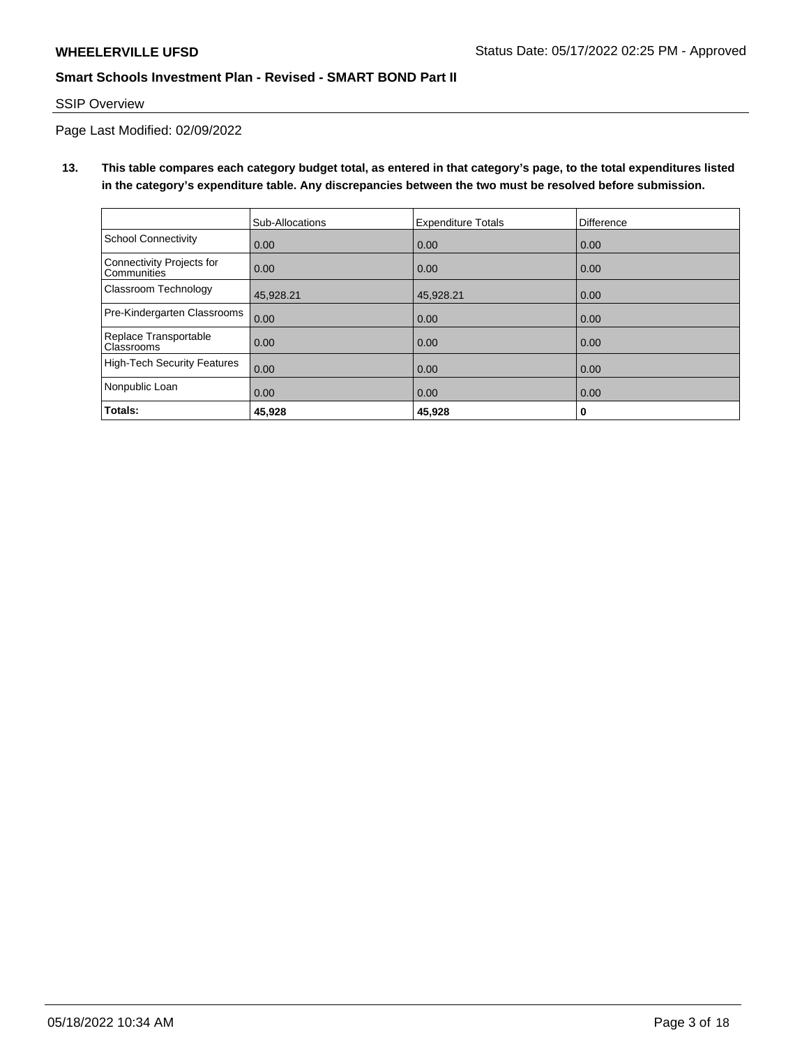## SSIP Overview

Page Last Modified: 02/09/2022

**13. This table compares each category budget total, as entered in that category's page, to the total expenditures listed in the category's expenditure table. Any discrepancies between the two must be resolved before submission.**

|                                            | Sub-Allocations | <b>Expenditure Totals</b> | <b>Difference</b> |
|--------------------------------------------|-----------------|---------------------------|-------------------|
| <b>School Connectivity</b>                 | 0.00            | 0.00                      | 0.00              |
| Connectivity Projects for<br>Communities   | 0.00            | 0.00                      | 0.00              |
| Classroom Technology                       | 45,928.21       | 45,928.21                 | 0.00              |
| Pre-Kindergarten Classrooms                | 0.00            | 0.00                      | 0.00              |
| Replace Transportable<br><b>Classrooms</b> | 0.00            | 0.00                      | 0.00              |
| <b>High-Tech Security Features</b>         | 0.00            | 0.00                      | 0.00              |
| Nonpublic Loan                             | 0.00            | 0.00                      | 0.00              |
| Totals:                                    | 45,928          | 45,928                    | 0                 |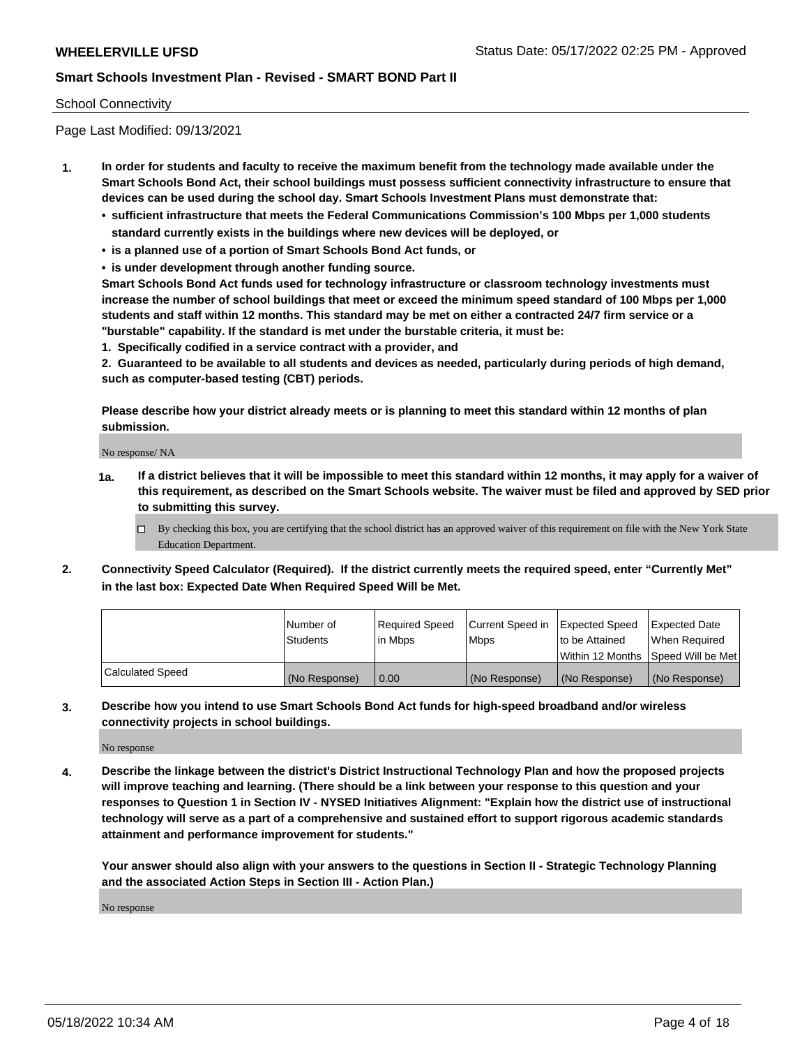## School Connectivity

Page Last Modified: 09/13/2021

- **1. In order for students and faculty to receive the maximum benefit from the technology made available under the Smart Schools Bond Act, their school buildings must possess sufficient connectivity infrastructure to ensure that devices can be used during the school day. Smart Schools Investment Plans must demonstrate that:**
	- **• sufficient infrastructure that meets the Federal Communications Commission's 100 Mbps per 1,000 students standard currently exists in the buildings where new devices will be deployed, or**
	- **• is a planned use of a portion of Smart Schools Bond Act funds, or**
	- **• is under development through another funding source.**

**Smart Schools Bond Act funds used for technology infrastructure or classroom technology investments must increase the number of school buildings that meet or exceed the minimum speed standard of 100 Mbps per 1,000 students and staff within 12 months. This standard may be met on either a contracted 24/7 firm service or a "burstable" capability. If the standard is met under the burstable criteria, it must be:**

**1. Specifically codified in a service contract with a provider, and**

**2. Guaranteed to be available to all students and devices as needed, particularly during periods of high demand, such as computer-based testing (CBT) periods.**

**Please describe how your district already meets or is planning to meet this standard within 12 months of plan submission.**

No response/ NA

- **1a. If a district believes that it will be impossible to meet this standard within 12 months, it may apply for a waiver of this requirement, as described on the Smart Schools website. The waiver must be filed and approved by SED prior to submitting this survey.**
	- By checking this box, you are certifying that the school district has an approved waiver of this requirement on file with the New York State Education Department.
- **2. Connectivity Speed Calculator (Required). If the district currently meets the required speed, enter "Currently Met" in the last box: Expected Date When Required Speed Will be Met.**

|                  | l Number of     | Required Speed | Current Speed in Expected Speed |                                    | Expected Date |
|------------------|-----------------|----------------|---------------------------------|------------------------------------|---------------|
|                  | <b>Students</b> | l in Mbps      | <b>Mbps</b>                     | to be Attained                     | When Reauired |
|                  |                 |                |                                 | Within 12 Months Speed Will be Met |               |
| Calculated Speed | (No Response)   | 0.00           | (No Response)                   | (No Response)                      | (No Response) |

**3. Describe how you intend to use Smart Schools Bond Act funds for high-speed broadband and/or wireless connectivity projects in school buildings.**

No response

**4. Describe the linkage between the district's District Instructional Technology Plan and how the proposed projects will improve teaching and learning. (There should be a link between your response to this question and your responses to Question 1 in Section IV - NYSED Initiatives Alignment: "Explain how the district use of instructional technology will serve as a part of a comprehensive and sustained effort to support rigorous academic standards attainment and performance improvement for students."** 

**Your answer should also align with your answers to the questions in Section II - Strategic Technology Planning and the associated Action Steps in Section III - Action Plan.)**

No response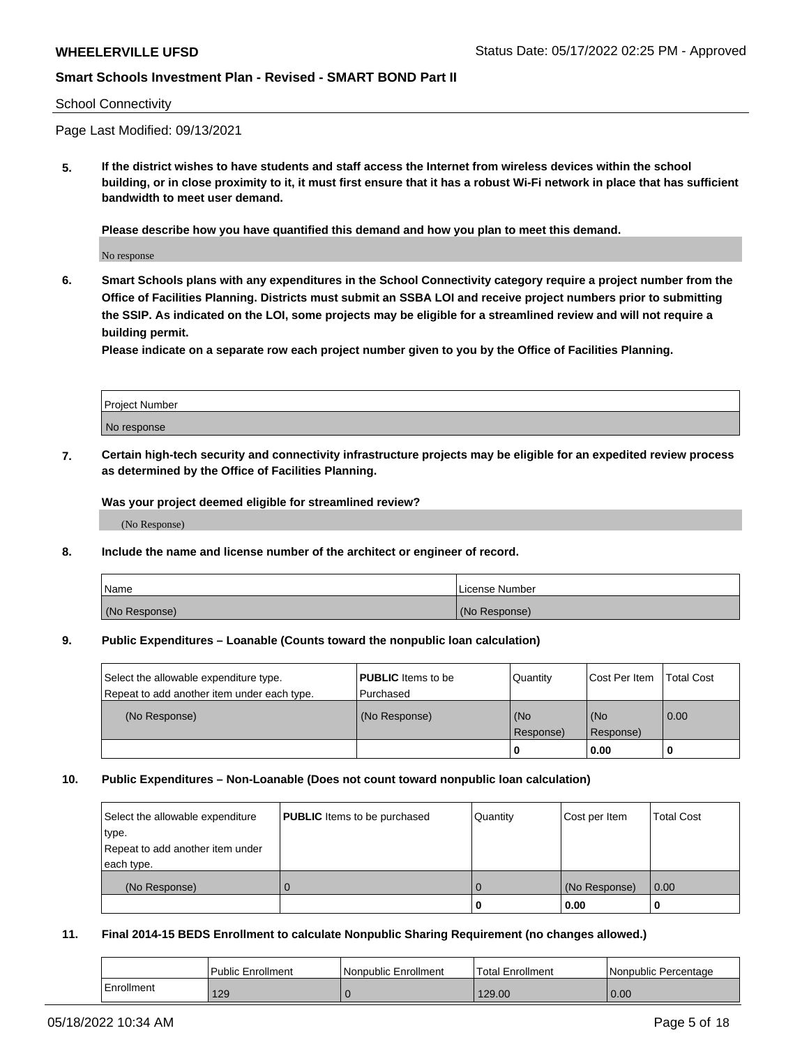#### School Connectivity

Page Last Modified: 09/13/2021

**5. If the district wishes to have students and staff access the Internet from wireless devices within the school building, or in close proximity to it, it must first ensure that it has a robust Wi-Fi network in place that has sufficient bandwidth to meet user demand.**

**Please describe how you have quantified this demand and how you plan to meet this demand.**

No response

**6. Smart Schools plans with any expenditures in the School Connectivity category require a project number from the Office of Facilities Planning. Districts must submit an SSBA LOI and receive project numbers prior to submitting the SSIP. As indicated on the LOI, some projects may be eligible for a streamlined review and will not require a building permit.**

**Please indicate on a separate row each project number given to you by the Office of Facilities Planning.**

| Project Number             |  |
|----------------------------|--|
| N <sub>o</sub><br>response |  |

**7. Certain high-tech security and connectivity infrastructure projects may be eligible for an expedited review process as determined by the Office of Facilities Planning.**

**Was your project deemed eligible for streamlined review?**

(No Response)

#### **8. Include the name and license number of the architect or engineer of record.**

| Name          | I License Number |
|---------------|------------------|
| (No Response) | (No Response)    |

#### **9. Public Expenditures – Loanable (Counts toward the nonpublic loan calculation)**

| Select the allowable expenditure type.<br>Repeat to add another item under each type. | <b>PUBLIC</b> Items to be<br>l Purchased | Quantity         | Cost Per Item    | <b>Total Cost</b> |
|---------------------------------------------------------------------------------------|------------------------------------------|------------------|------------------|-------------------|
| (No Response)                                                                         | (No Response)                            | (No<br>Response) | (No<br>Response) | 0.00              |
|                                                                                       |                                          | -0               | 0.00             |                   |

## **10. Public Expenditures – Non-Loanable (Does not count toward nonpublic loan calculation)**

| Select the allowable expenditure | <b>PUBLIC</b> Items to be purchased | Quantity | Cost per Item | <b>Total Cost</b> |
|----------------------------------|-------------------------------------|----------|---------------|-------------------|
| type.                            |                                     |          |               |                   |
| Repeat to add another item under |                                     |          |               |                   |
| each type.                       |                                     |          |               |                   |
| (No Response)                    |                                     | 0        | (No Response) | 0.00              |
|                                  |                                     | 0        | 0.00          |                   |

#### **11. Final 2014-15 BEDS Enrollment to calculate Nonpublic Sharing Requirement (no changes allowed.)**

|            | <b>Public Enrollment</b> | Nonpublic Enrollment | <sup>1</sup> Total Enrollment | l Nonpublic Percentage |
|------------|--------------------------|----------------------|-------------------------------|------------------------|
| Enrollment | 129                      |                      | 129.00                        | 0.00                   |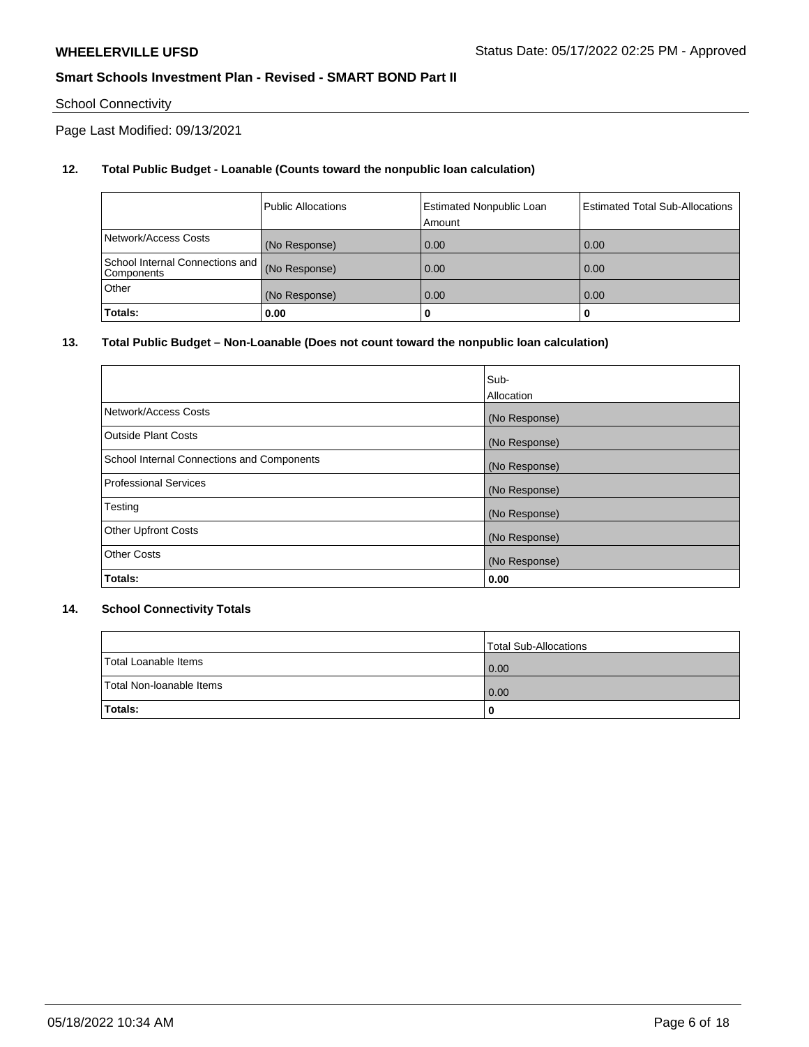# School Connectivity

Page Last Modified: 09/13/2021

## **12. Total Public Budget - Loanable (Counts toward the nonpublic loan calculation)**

|                                               | <b>Public Allocations</b> | <b>Estimated Nonpublic Loan</b><br>Amount | Estimated Total Sub-Allocations |
|-----------------------------------------------|---------------------------|-------------------------------------------|---------------------------------|
| Network/Access Costs                          | (No Response)             | 0.00                                      | 0.00                            |
| School Internal Connections and<br>Components | (No Response)             | 0.00                                      | 0.00                            |
| Other                                         | (No Response)             | 0.00                                      | 0.00                            |
| Totals:                                       | 0.00                      |                                           | 0                               |

## **13. Total Public Budget – Non-Loanable (Does not count toward the nonpublic loan calculation)**

|                                            | Sub-          |
|--------------------------------------------|---------------|
|                                            | Allocation    |
| Network/Access Costs                       | (No Response) |
| <b>Outside Plant Costs</b>                 | (No Response) |
| School Internal Connections and Components | (No Response) |
| <b>Professional Services</b>               | (No Response) |
| Testing                                    | (No Response) |
| <b>Other Upfront Costs</b>                 | (No Response) |
| <b>Other Costs</b>                         | (No Response) |
| Totals:                                    | 0.00          |

## **14. School Connectivity Totals**

|                          | Total Sub-Allocations |
|--------------------------|-----------------------|
| Total Loanable Items     | $\overline{0.00}$     |
| Total Non-Ioanable Items | 0.00                  |
| Totals:                  | 0                     |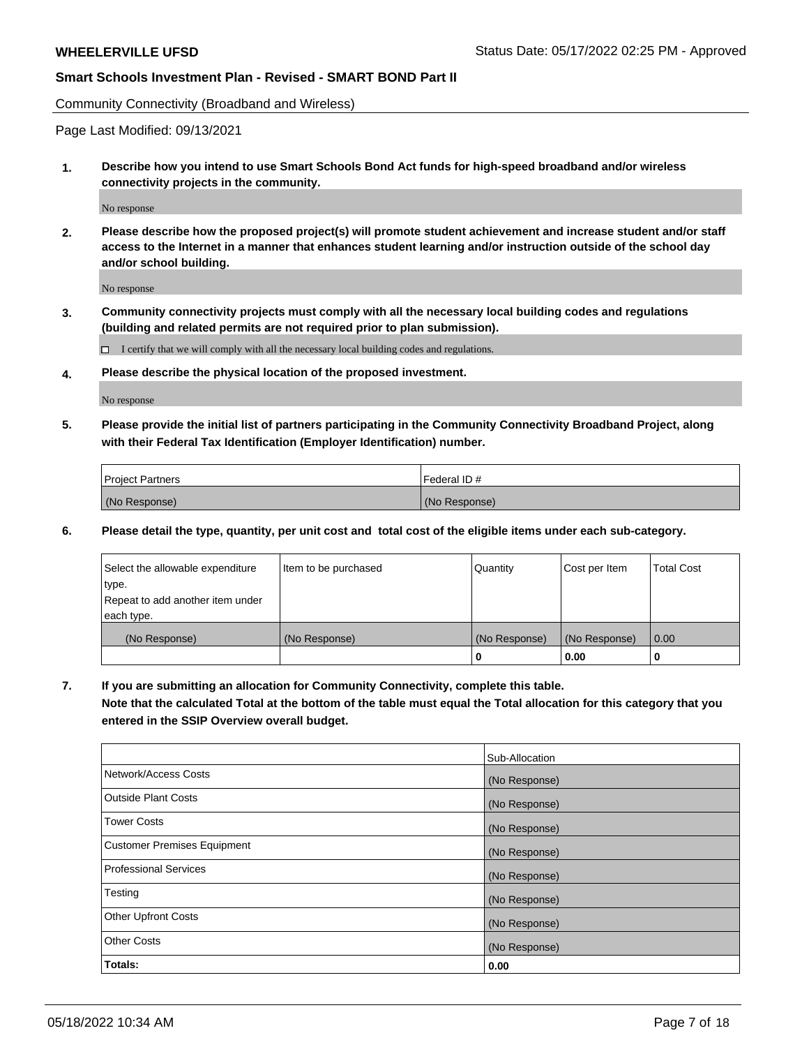Community Connectivity (Broadband and Wireless)

Page Last Modified: 09/13/2021

**1. Describe how you intend to use Smart Schools Bond Act funds for high-speed broadband and/or wireless connectivity projects in the community.**

No response

**2. Please describe how the proposed project(s) will promote student achievement and increase student and/or staff access to the Internet in a manner that enhances student learning and/or instruction outside of the school day and/or school building.**

No response

**3. Community connectivity projects must comply with all the necessary local building codes and regulations (building and related permits are not required prior to plan submission).**

 $\Box$  I certify that we will comply with all the necessary local building codes and regulations.

**4. Please describe the physical location of the proposed investment.**

No response

**5. Please provide the initial list of partners participating in the Community Connectivity Broadband Project, along with their Federal Tax Identification (Employer Identification) number.**

| <b>Project Partners</b> | Federal ID#   |
|-------------------------|---------------|
| (No Response)           | (No Response) |

**6. Please detail the type, quantity, per unit cost and total cost of the eligible items under each sub-category.**

| Select the allowable expenditure | Item to be purchased | Quantity      | Cost per Item | <b>Total Cost</b> |
|----------------------------------|----------------------|---------------|---------------|-------------------|
| type.                            |                      |               |               |                   |
| Repeat to add another item under |                      |               |               |                   |
| each type.                       |                      |               |               |                   |
| (No Response)                    | (No Response)        | (No Response) | (No Response) | 0.00              |
|                                  |                      | 0             | 0.00          |                   |

**7. If you are submitting an allocation for Community Connectivity, complete this table.**

**Note that the calculated Total at the bottom of the table must equal the Total allocation for this category that you entered in the SSIP Overview overall budget.**

|                                    | Sub-Allocation |
|------------------------------------|----------------|
| Network/Access Costs               | (No Response)  |
| <b>Outside Plant Costs</b>         | (No Response)  |
| <b>Tower Costs</b>                 | (No Response)  |
| <b>Customer Premises Equipment</b> | (No Response)  |
| Professional Services              | (No Response)  |
| Testing                            | (No Response)  |
| <b>Other Upfront Costs</b>         | (No Response)  |
| <b>Other Costs</b>                 | (No Response)  |
| Totals:                            | 0.00           |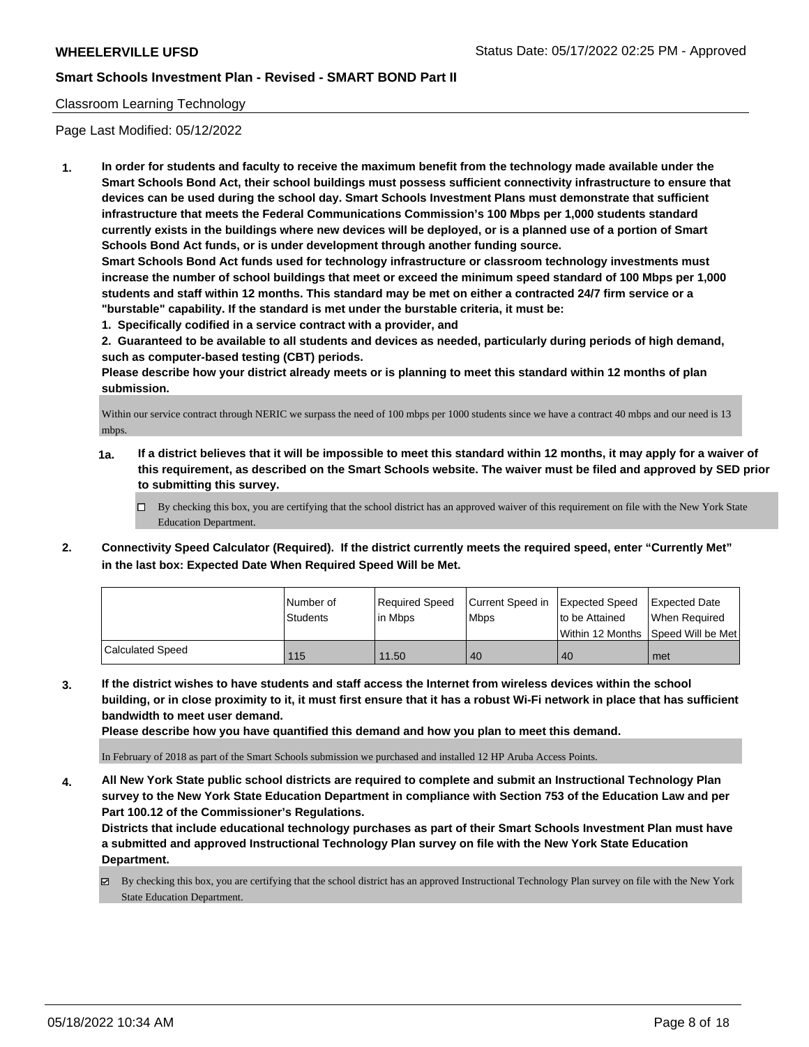### Classroom Learning Technology

Page Last Modified: 05/12/2022

**1. In order for students and faculty to receive the maximum benefit from the technology made available under the Smart Schools Bond Act, their school buildings must possess sufficient connectivity infrastructure to ensure that devices can be used during the school day. Smart Schools Investment Plans must demonstrate that sufficient infrastructure that meets the Federal Communications Commission's 100 Mbps per 1,000 students standard currently exists in the buildings where new devices will be deployed, or is a planned use of a portion of Smart Schools Bond Act funds, or is under development through another funding source.**

**Smart Schools Bond Act funds used for technology infrastructure or classroom technology investments must increase the number of school buildings that meet or exceed the minimum speed standard of 100 Mbps per 1,000 students and staff within 12 months. This standard may be met on either a contracted 24/7 firm service or a "burstable" capability. If the standard is met under the burstable criteria, it must be:**

**1. Specifically codified in a service contract with a provider, and**

**2. Guaranteed to be available to all students and devices as needed, particularly during periods of high demand, such as computer-based testing (CBT) periods.**

**Please describe how your district already meets or is planning to meet this standard within 12 months of plan submission.**

Within our service contract through NERIC we surpass the need of 100 mbps per 1000 students since we have a contract 40 mbps and our need is 13 mbps.

- **1a. If a district believes that it will be impossible to meet this standard within 12 months, it may apply for a waiver of this requirement, as described on the Smart Schools website. The waiver must be filed and approved by SED prior to submitting this survey.**
	- By checking this box, you are certifying that the school district has an approved waiver of this requirement on file with the New York State Education Department.
- **2. Connectivity Speed Calculator (Required). If the district currently meets the required speed, enter "Currently Met" in the last box: Expected Date When Required Speed Will be Met.**

|                  | l Number of<br><b>Students</b> | Required Speed<br>l in Mbps | Current Speed in Expected Speed<br><b>Mbps</b> | to be Attained                      | Expected Date<br>When Required |
|------------------|--------------------------------|-----------------------------|------------------------------------------------|-------------------------------------|--------------------------------|
|                  |                                |                             |                                                | Within 12 Months 1Speed Will be Met |                                |
| Calculated Speed | 115                            | 11.50                       | 40                                             | 40                                  | met                            |

**3. If the district wishes to have students and staff access the Internet from wireless devices within the school building, or in close proximity to it, it must first ensure that it has a robust Wi-Fi network in place that has sufficient bandwidth to meet user demand.**

**Please describe how you have quantified this demand and how you plan to meet this demand.**

In February of 2018 as part of the Smart Schools submission we purchased and installed 12 HP Aruba Access Points.

**4. All New York State public school districts are required to complete and submit an Instructional Technology Plan survey to the New York State Education Department in compliance with Section 753 of the Education Law and per Part 100.12 of the Commissioner's Regulations.**

**Districts that include educational technology purchases as part of their Smart Schools Investment Plan must have a submitted and approved Instructional Technology Plan survey on file with the New York State Education Department.**

By checking this box, you are certifying that the school district has an approved Instructional Technology Plan survey on file with the New York State Education Department.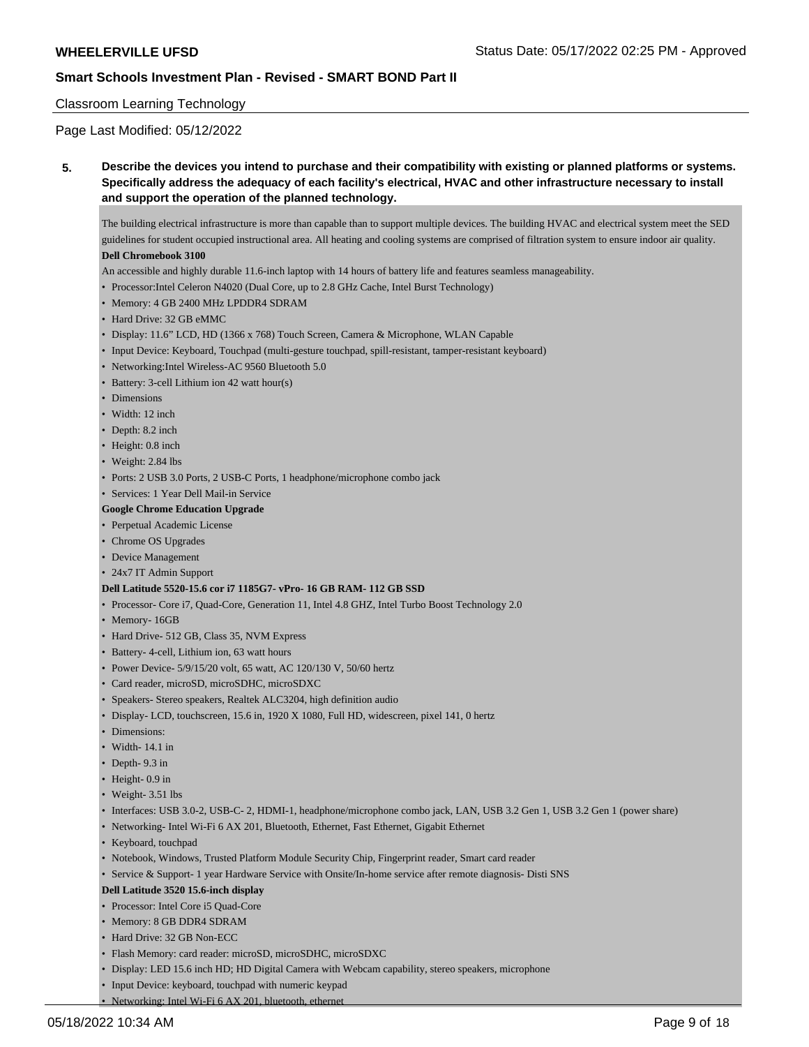### Classroom Learning Technology

Page Last Modified: 05/12/2022

**5. Describe the devices you intend to purchase and their compatibility with existing or planned platforms or systems. Specifically address the adequacy of each facility's electrical, HVAC and other infrastructure necessary to install and support the operation of the planned technology.**

The building electrical infrastructure is more than capable than to support multiple devices. The building HVAC and electrical system meet the SED guidelines for student occupied instructional area. All heating and cooling systems are comprised of filtration system to ensure indoor air quality.

## **Dell Chromebook 3100**

An accessible and highly durable 11.6-inch laptop with 14 hours of battery life and features seamless manageability.

- Processor:Intel Celeron N4020 (Dual Core, up to 2.8 GHz Cache, Intel Burst Technology)
- Memory: 4 GB 2400 MHz LPDDR4 SDRAM
- Hard Drive: 32 GB eMMC
- Display: 11.6" LCD, HD (1366 x 768) Touch Screen, Camera & Microphone, WLAN Capable
- Input Device: Keyboard, Touchpad (multi-gesture touchpad, spill-resistant, tamper-resistant keyboard)
- Networking:Intel Wireless-AC 9560 Bluetooth 5.0
- Battery: 3-cell Lithium ion 42 watt hour(s)
- Dimensions
- Width: 12 inch
- Depth: 8.2 inch
- Height: 0.8 inch
- Weight: 2.84 lbs
- Ports: 2 USB 3.0 Ports, 2 USB-C Ports, 1 headphone/microphone combo jack
- Services: 1 Year Dell Mail-in Service

### **Google Chrome Education Upgrade**

- Perpetual Academic License
- Chrome OS Upgrades
- Device Management
- 24x7 IT Admin Support

#### **Dell Latitude 5520-15.6 cor i7 1185G7- vPro- 16 GB RAM- 112 GB SSD**

- Processor- Core i7, Quad-Core, Generation 11, Intel 4.8 GHZ, Intel Turbo Boost Technology 2.0
- Memory- 16GB
- Hard Drive- 512 GB, Class 35, NVM Express
- Battery- 4-cell, Lithium ion, 63 watt hours
- Power Device- 5/9/15/20 volt, 65 watt, AC 120/130 V, 50/60 hertz
- Card reader, microSD, microSDHC, microSDXC
- Speakers- Stereo speakers, Realtek ALC3204, high definition audio
- Display- LCD, touchscreen, 15.6 in, 1920 X 1080, Full HD, widescreen, pixel 141, 0 hertz
- Dimensions:
- Width- 14.1 in
- Depth- 9.3 in
- Height- 0.9 in
- Weight- 3.51 lbs
- Interfaces: USB 3.0-2, USB-C- 2, HDMI-1, headphone/microphone combo jack, LAN, USB 3.2 Gen 1, USB 3.2 Gen 1 (power share)
- Networking- Intel Wi-Fi 6 AX 201, Bluetooth, Ethernet, Fast Ethernet, Gigabit Ethernet
- Keyboard, touchpad
- Notebook, Windows, Trusted Platform Module Security Chip, Fingerprint reader, Smart card reader
- Service & Support- 1 year Hardware Service with Onsite/In-home service after remote diagnosis- Disti SNS
- **Dell Latitude 3520 15.6-inch display**
- Processor: Intel Core i5 Quad-Core
- Memory: 8 GB DDR4 SDRAM
- Hard Drive: 32 GB Non-ECC
- Flash Memory: card reader: microSD, microSDHC, microSDXC
- Display: LED 15.6 inch HD; HD Digital Camera with Webcam capability, stereo speakers, microphone
- Input Device: keyboard, touchpad with numeric keypad
- Networking: Intel Wi-Fi 6 AX 201, bluetooth, ethernet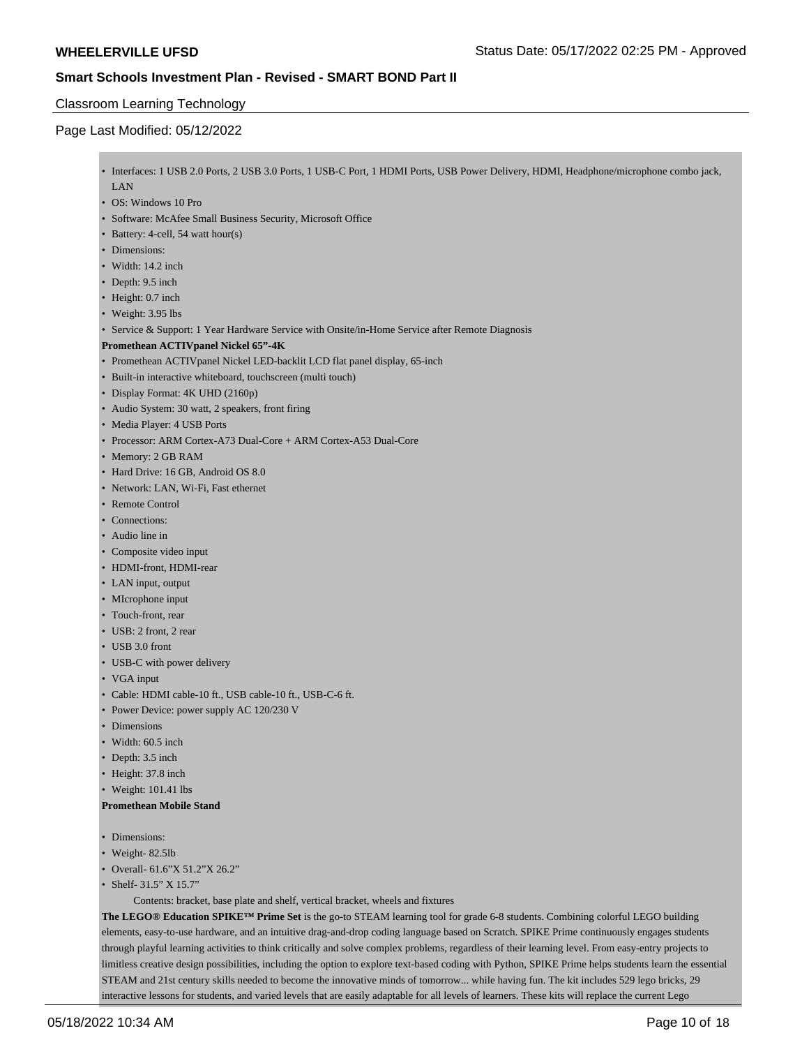## Classroom Learning Technology

### Page Last Modified: 05/12/2022

- Interfaces: 1 USB 2.0 Ports, 2 USB 3.0 Ports, 1 USB-C Port, 1 HDMI Ports, USB Power Delivery, HDMI, Headphone/microphone combo jack, LAN • OS: Windows 10 Pro • Software: McAfee Small Business Security, Microsoft Office
- Battery: 4-cell, 54 watt hour(s)
- Dimensions:
- Width: 14.2 inch
- Depth: 9.5 inch
- Height: 0.7 inch
- Weight: 3.95 lbs
- Service & Support: 1 Year Hardware Service with Onsite/in-Home Service after Remote Diagnosis
- **Promethean ACTIVpanel Nickel 65"-4K**
- Promethean ACTIVpanel Nickel LED-backlit LCD flat panel display, 65-inch
- Built-in interactive whiteboard, touchscreen (multi touch)
- Display Format: 4K UHD (2160p)
- Audio System: 30 watt, 2 speakers, front firing
- Media Player: 4 USB Ports
- Processor: ARM Cortex-A73 Dual-Core + ARM Cortex-A53 Dual-Core
- Memory: 2 GB RAM
- Hard Drive: 16 GB, Android OS 8.0
- Network: LAN, Wi-Fi, Fast ethernet
- Remote Control
- Connections:
- Audio line in
- Composite video input
- HDMI-front, HDMI-rear
- LAN input, output
- MIcrophone input
- Touch-front, rear
- USB: 2 front, 2 rear
- USB 3.0 front
- USB-C with power delivery
- VGA input
- Cable: HDMI cable-10 ft., USB cable-10 ft., USB-C-6 ft.
- Power Device: power supply AC 120/230 V
- Dimensions
- Width: 60.5 inch
- Depth: 3.5 inch
- Height: 37.8 inch
- Weight: 101.41 lbs
- **Promethean Mobile Stand**
- Dimensions:
- Weight- 82.5lb
- Overall- 61.6"X 51.2"X 26.2"
- Shelf- 31.5" X 15.7"

Contents: bracket, base plate and shelf, vertical bracket, wheels and fixtures

**The LEGO® Education SPIKE™ Prime Set** is the go-to STEAM learning tool for grade 6-8 students. Combining colorful LEGO building elements, easy-to-use hardware, and an intuitive drag-and-drop coding language based on Scratch. SPIKE Prime continuously engages students through playful learning activities to think critically and solve complex problems, regardless of their learning level. From easy-entry projects to limitless creative design possibilities, including the option to explore text-based coding with Python, SPIKE Prime helps students learn the essential STEAM and 21st century skills needed to become the innovative minds of tomorrow... while having fun. The kit includes 529 lego bricks, 29 interactive lessons for students, and varied levels that are easily adaptable for all levels of learners. These kits will replace the current Lego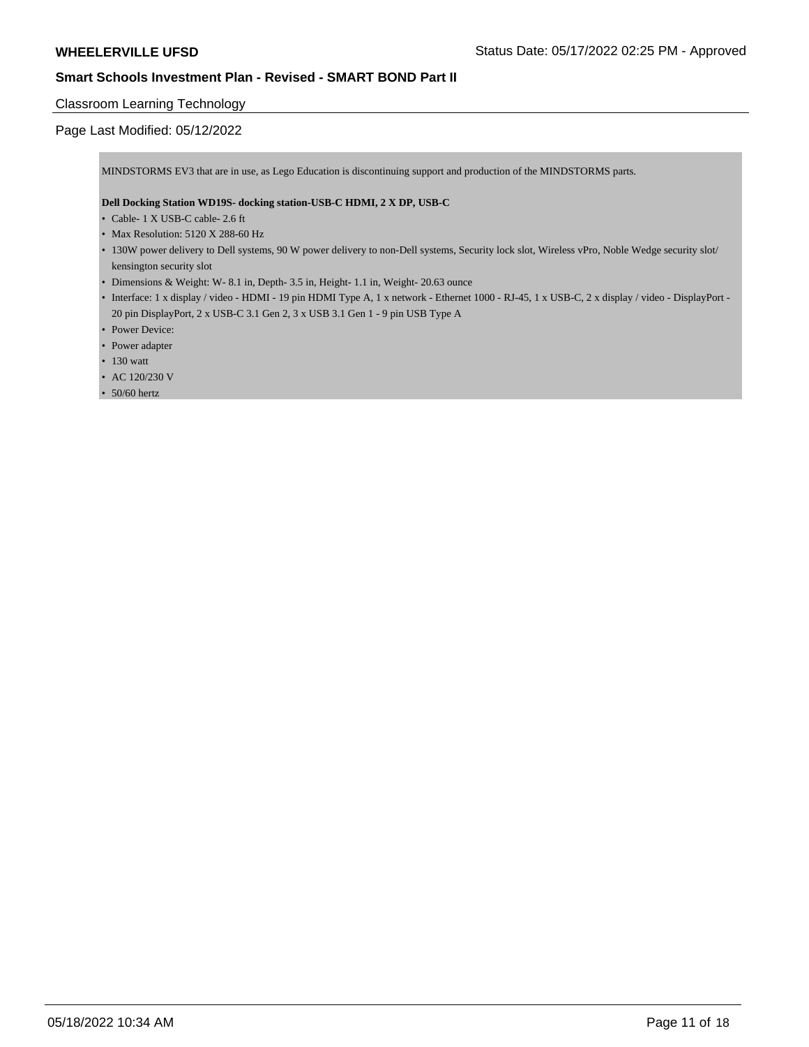## Classroom Learning Technology

# Page Last Modified: 05/12/2022

MINDSTORMS EV3 that are in use, as Lego Education is discontinuing support and production of the MINDSTORMS parts.

#### **Dell Docking Station WD19S- docking station-USB-C HDMI, 2 X DP, USB-C**

- Cable- 1 X USB-C cable- 2.6 ft
- Max Resolution: 5120 X 288-60 Hz
- 130W power delivery to Dell systems, 90 W power delivery to non-Dell systems, Security lock slot, Wireless vPro, Noble Wedge security slot/ kensington security slot
- Dimensions & Weight: W- 8.1 in, Depth- 3.5 in, Height- 1.1 in, Weight- 20.63 ounce
- Interface: 1 x display / video HDMI 19 pin HDMI Type A, 1 x network Ethernet 1000 RJ-45, 1 x USB-C, 2 x display / video DisplayPort 20 pin DisplayPort, 2 x USB-C 3.1 Gen 2, 3 x USB 3.1 Gen 1 - 9 pin USB Type A
- Power Device:
- Power adapter
- 130 watt
- AC 120/230 V
- 50/60 hertz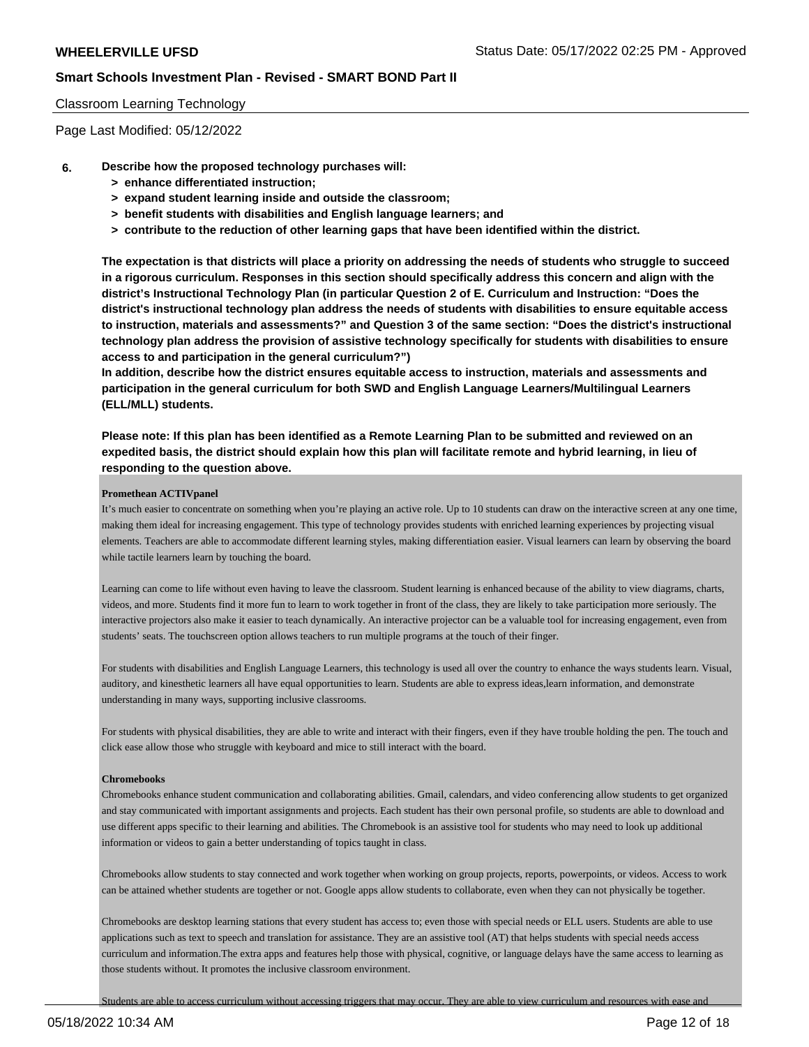### Classroom Learning Technology

Page Last Modified: 05/12/2022

### **6. Describe how the proposed technology purchases will:**

- **> enhance differentiated instruction;**
- **> expand student learning inside and outside the classroom;**
- **> benefit students with disabilities and English language learners; and**
- **> contribute to the reduction of other learning gaps that have been identified within the district.**

**The expectation is that districts will place a priority on addressing the needs of students who struggle to succeed in a rigorous curriculum. Responses in this section should specifically address this concern and align with the district's Instructional Technology Plan (in particular Question 2 of E. Curriculum and Instruction: "Does the district's instructional technology plan address the needs of students with disabilities to ensure equitable access to instruction, materials and assessments?" and Question 3 of the same section: "Does the district's instructional technology plan address the provision of assistive technology specifically for students with disabilities to ensure access to and participation in the general curriculum?")**

**In addition, describe how the district ensures equitable access to instruction, materials and assessments and participation in the general curriculum for both SWD and English Language Learners/Multilingual Learners (ELL/MLL) students.**

**Please note: If this plan has been identified as a Remote Learning Plan to be submitted and reviewed on an expedited basis, the district should explain how this plan will facilitate remote and hybrid learning, in lieu of responding to the question above.**

#### **Promethean ACTIVpanel**

It's much easier to concentrate on something when you're playing an active role. Up to 10 students can draw on the interactive screen at any one time, making them ideal for increasing engagement. This type of technology provides students with enriched learning experiences by projecting visual elements. Teachers are able to accommodate different learning styles, making differentiation easier. Visual learners can learn by observing the board while tactile learners learn by touching the board.

Learning can come to life without even having to leave the classroom. Student learning is enhanced because of the ability to view diagrams, charts, videos, and more. Students find it more fun to learn to work together in front of the class, they are likely to take participation more seriously. The interactive projectors also make it easier to teach dynamically. An interactive projector can be a valuable tool for increasing engagement, even from students' seats. The touchscreen option allows teachers to run multiple programs at the touch of their finger.

For students with disabilities and English Language Learners, this technology is used all over the country to enhance the ways students learn. Visual, auditory, and kinesthetic learners all have equal opportunities to learn. Students are able to express ideas,learn information, and demonstrate understanding in many ways, supporting inclusive classrooms.

For students with physical disabilities, they are able to write and interact with their fingers, even if they have trouble holding the pen. The touch and click ease allow those who struggle with keyboard and mice to still interact with the board.

### **Chromebooks**

Chromebooks enhance student communication and collaborating abilities. Gmail, calendars, and video conferencing allow students to get organized and stay communicated with important assignments and projects. Each student has their own personal profile, so students are able to download and use different apps specific to their learning and abilities. The Chromebook is an assistive tool for students who may need to look up additional information or videos to gain a better understanding of topics taught in class.

Chromebooks allow students to stay connected and work together when working on group projects, reports, powerpoints, or videos. Access to work can be attained whether students are together or not. Google apps allow students to collaborate, even when they can not physically be together.

Chromebooks are desktop learning stations that every student has access to; even those with special needs or ELL users. Students are able to use applications such as text to speech and translation for assistance. They are an assistive tool (AT) that helps students with special needs access curriculum and information.The extra apps and features help those with physical, cognitive, or language delays have the same access to learning as those students without. It promotes the inclusive classroom environment.

Students are able to access curriculum without accessing triggers that may occur. They are able to view curriculum and resources with ease and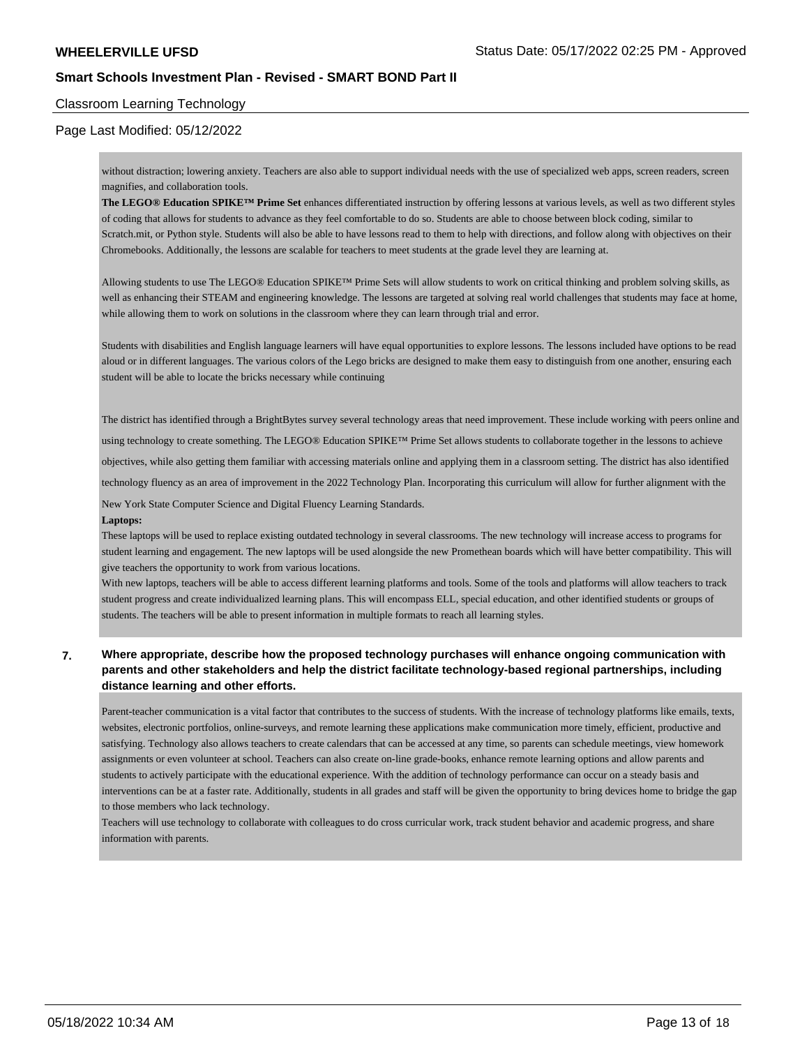## Classroom Learning Technology

### Page Last Modified: 05/12/2022

without distraction; lowering anxiety. Teachers are also able to support individual needs with the use of specialized web apps, screen readers, screen magnifies, and collaboration tools.

**The LEGO® Education SPIKE™ Prime Set** enhances differentiated instruction by offering lessons at various levels, as well as two different styles of coding that allows for students to advance as they feel comfortable to do so. Students are able to choose between block coding, similar to Scratch.mit, or Python style. Students will also be able to have lessons read to them to help with directions, and follow along with objectives on their Chromebooks. Additionally, the lessons are scalable for teachers to meet students at the grade level they are learning at.

Allowing students to use The LEGO® Education SPIKE™ Prime Sets will allow students to work on critical thinking and problem solving skills, as well as enhancing their STEAM and engineering knowledge. The lessons are targeted at solving real world challenges that students may face at home, while allowing them to work on solutions in the classroom where they can learn through trial and error.

Students with disabilities and English language learners will have equal opportunities to explore lessons. The lessons included have options to be read aloud or in different languages. The various colors of the Lego bricks are designed to make them easy to distinguish from one another, ensuring each student will be able to locate the bricks necessary while continuing

The district has identified through a BrightBytes survey several technology areas that need improvement. These include working with peers online and using technology to create something. The LEGO® Education SPIKE™ Prime Set allows students to collaborate together in the lessons to achieve objectives, while also getting them familiar with accessing materials online and applying them in a classroom setting. The district has also identified technology fluency as an area of improvement in the 2022 Technology Plan. Incorporating this curriculum will allow for further alignment with the New York State Computer Science and Digital Fluency Learning Standards.

#### **Laptops:**

These laptops will be used to replace existing outdated technology in several classrooms. The new technology will increase access to programs for student learning and engagement. The new laptops will be used alongside the new Promethean boards which will have better compatibility. This will give teachers the opportunity to work from various locations.

With new laptops, teachers will be able to access different learning platforms and tools. Some of the tools and platforms will allow teachers to track student progress and create individualized learning plans. This will encompass ELL, special education, and other identified students or groups of students. The teachers will be able to present information in multiple formats to reach all learning styles.

## **7. Where appropriate, describe how the proposed technology purchases will enhance ongoing communication with parents and other stakeholders and help the district facilitate technology-based regional partnerships, including distance learning and other efforts.**

Parent-teacher communication is a vital factor that contributes to the success of students. With the increase of technology platforms like emails, texts, websites, electronic portfolios, online-surveys, and remote learning these applications make communication more timely, efficient, productive and satisfying. Technology also allows teachers to create calendars that can be accessed at any time, so parents can schedule meetings, view homework assignments or even volunteer at school. Teachers can also create on-line grade-books, enhance remote learning options and allow parents and students to actively participate with the educational experience. With the addition of technology performance can occur on a steady basis and interventions can be at a faster rate. Additionally, students in all grades and staff will be given the opportunity to bring devices home to bridge the gap to those members who lack technology.

Teachers will use technology to collaborate with colleagues to do cross curricular work, track student behavior and academic progress, and share information with parents.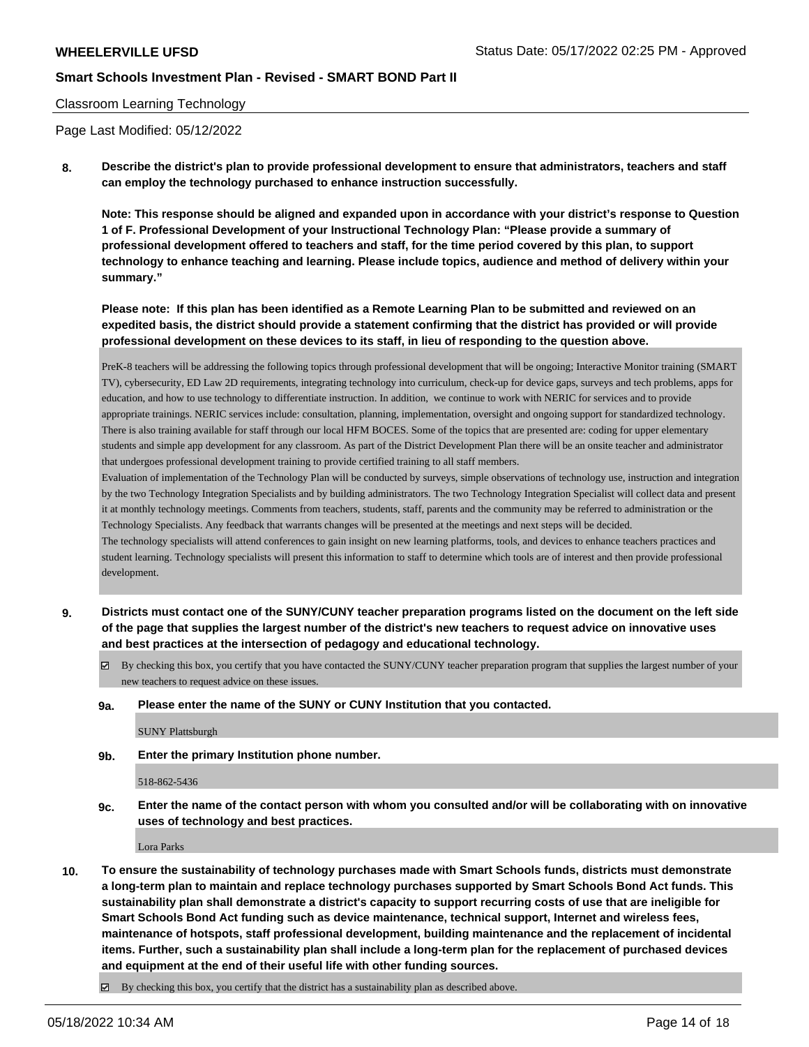### Classroom Learning Technology

Page Last Modified: 05/12/2022

**8. Describe the district's plan to provide professional development to ensure that administrators, teachers and staff can employ the technology purchased to enhance instruction successfully.**

**Note: This response should be aligned and expanded upon in accordance with your district's response to Question 1 of F. Professional Development of your Instructional Technology Plan: "Please provide a summary of professional development offered to teachers and staff, for the time period covered by this plan, to support technology to enhance teaching and learning. Please include topics, audience and method of delivery within your summary."**

**Please note: If this plan has been identified as a Remote Learning Plan to be submitted and reviewed on an expedited basis, the district should provide a statement confirming that the district has provided or will provide professional development on these devices to its staff, in lieu of responding to the question above.**

PreK-8 teachers will be addressing the following topics through professional development that will be ongoing; Interactive Monitor training (SMART TV), cybersecurity, ED Law 2D requirements, integrating technology into curriculum, check-up for device gaps, surveys and tech problems, apps for education, and how to use technology to differentiate instruction. In addition, we continue to work with NERIC for services and to provide appropriate trainings. NERIC services include: consultation, planning, implementation, oversight and ongoing support for standardized technology. There is also training available for staff through our local HFM BOCES. Some of the topics that are presented are: coding for upper elementary students and simple app development for any classroom. As part of the District Development Plan there will be an onsite teacher and administrator that undergoes professional development training to provide certified training to all staff members.

Evaluation of implementation of the Technology Plan will be conducted by surveys, simple observations of technology use, instruction and integration by the two Technology Integration Specialists and by building administrators. The two Technology Integration Specialist will collect data and present it at monthly technology meetings. Comments from teachers, students, staff, parents and the community may be referred to administration or the Technology Specialists. Any feedback that warrants changes will be presented at the meetings and next steps will be decided.

The technology specialists will attend conferences to gain insight on new learning platforms, tools, and devices to enhance teachers practices and student learning. Technology specialists will present this information to staff to determine which tools are of interest and then provide professional development.

- **9. Districts must contact one of the SUNY/CUNY teacher preparation programs listed on the document on the left side of the page that supplies the largest number of the district's new teachers to request advice on innovative uses and best practices at the intersection of pedagogy and educational technology.**
	- By checking this box, you certify that you have contacted the SUNY/CUNY teacher preparation program that supplies the largest number of your new teachers to request advice on these issues.
	- **9a. Please enter the name of the SUNY or CUNY Institution that you contacted.**

SUNY Plattsburgh

**9b. Enter the primary Institution phone number.**

518-862-5436

**9c. Enter the name of the contact person with whom you consulted and/or will be collaborating with on innovative uses of technology and best practices.**

Lora Parks

- **10. To ensure the sustainability of technology purchases made with Smart Schools funds, districts must demonstrate a long-term plan to maintain and replace technology purchases supported by Smart Schools Bond Act funds. This sustainability plan shall demonstrate a district's capacity to support recurring costs of use that are ineligible for Smart Schools Bond Act funding such as device maintenance, technical support, Internet and wireless fees, maintenance of hotspots, staff professional development, building maintenance and the replacement of incidental items. Further, such a sustainability plan shall include a long-term plan for the replacement of purchased devices and equipment at the end of their useful life with other funding sources.**
	- By checking this box, you certify that the district has a sustainability plan as described above.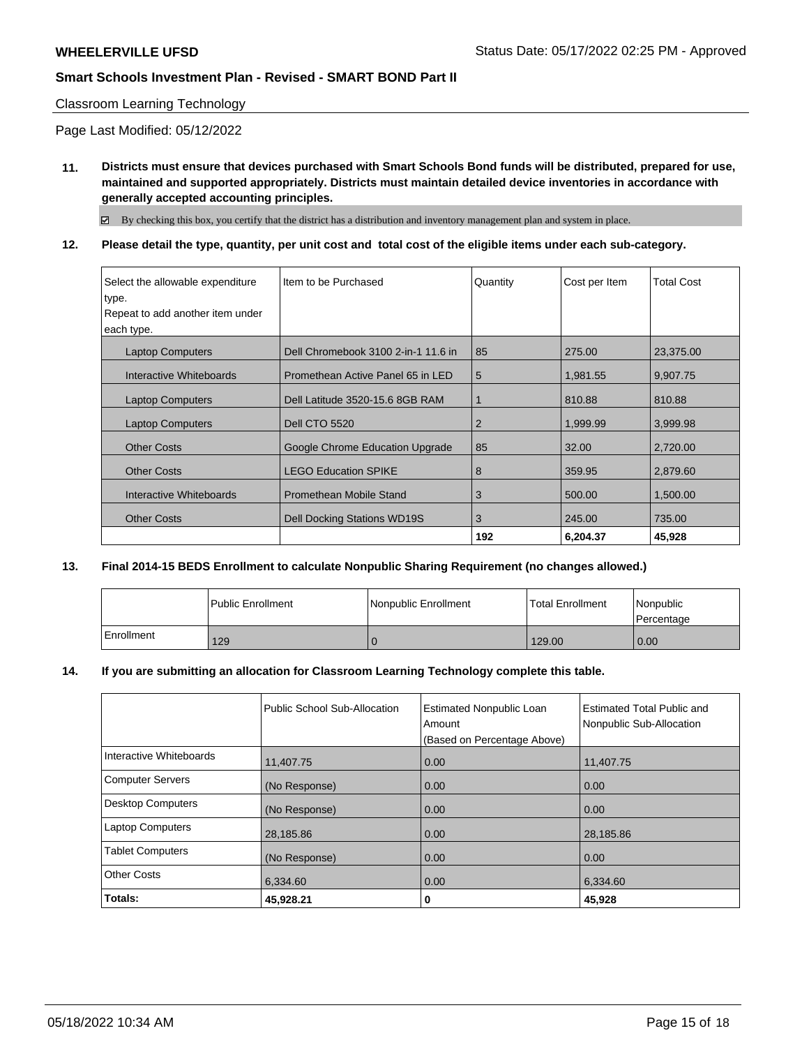# Classroom Learning Technology

Page Last Modified: 05/12/2022

**11. Districts must ensure that devices purchased with Smart Schools Bond funds will be distributed, prepared for use, maintained and supported appropriately. Districts must maintain detailed device inventories in accordance with generally accepted accounting principles.**

By checking this box, you certify that the district has a distribution and inventory management plan and system in place.

**12. Please detail the type, quantity, per unit cost and total cost of the eligible items under each sub-category.**

| Select the allowable expenditure<br>type.<br>Repeat to add another item under<br>each type. | Item to be Purchased                | Quantity | Cost per Item | <b>Total Cost</b> |
|---------------------------------------------------------------------------------------------|-------------------------------------|----------|---------------|-------------------|
| <b>Laptop Computers</b>                                                                     | Dell Chromebook 3100 2-in-1 11.6 in | 85       | 275.00        | 23,375.00         |
| Interactive Whiteboards                                                                     | Promethean Active Panel 65 in LED   | 5        | 1.981.55      | 9.907.75          |
| <b>Laptop Computers</b>                                                                     | Dell Latitude 3520-15.6 8GB RAM     |          | 810.88        | 810.88            |
| <b>Laptop Computers</b>                                                                     | <b>Dell CTO 5520</b>                | 2        | 1,999.99      | 3,999.98          |
| <b>Other Costs</b>                                                                          | Google Chrome Education Upgrade     | 85       | 32.00         | 2,720.00          |
| <b>Other Costs</b>                                                                          | <b>LEGO Education SPIKE</b>         | 8        | 359.95        | 2,879.60          |
| Interactive Whiteboards                                                                     | Promethean Mobile Stand             | 3        | 500.00        | 1,500.00          |
| <b>Other Costs</b>                                                                          | <b>Dell Docking Stations WD19S</b>  | 3        | 245.00        | 735.00            |
|                                                                                             |                                     | 192      | 6,204.37      | 45,928            |

## **13. Final 2014-15 BEDS Enrollment to calculate Nonpublic Sharing Requirement (no changes allowed.)**

|            | l Public Enrollment | Nonpublic Enrollment | <b>Total Enrollment</b> | l Nonpublic<br><b>I</b> Percentage |
|------------|---------------------|----------------------|-------------------------|------------------------------------|
| Enrollment | 129                 |                      | 129.00                  | 0.00                               |

### **14. If you are submitting an allocation for Classroom Learning Technology complete this table.**

|                          | Public School Sub-Allocation | <b>Estimated Nonpublic Loan</b><br>Amount<br>(Based on Percentage Above) | Estimated Total Public and<br>Nonpublic Sub-Allocation |
|--------------------------|------------------------------|--------------------------------------------------------------------------|--------------------------------------------------------|
| Interactive Whiteboards  | 11,407.75                    | 0.00                                                                     | 11,407.75                                              |
| <b>Computer Servers</b>  | (No Response)                | 0.00                                                                     | 0.00                                                   |
| <b>Desktop Computers</b> | (No Response)                | 0.00                                                                     | 0.00                                                   |
| <b>Laptop Computers</b>  | 28,185.86                    | 0.00                                                                     | 28,185.86                                              |
| <b>Tablet Computers</b>  | (No Response)                | 0.00                                                                     | 0.00                                                   |
| <b>Other Costs</b>       | 6,334.60                     | 0.00                                                                     | 6,334.60                                               |
| Totals:                  | 45.928.21                    | 0                                                                        | 45,928                                                 |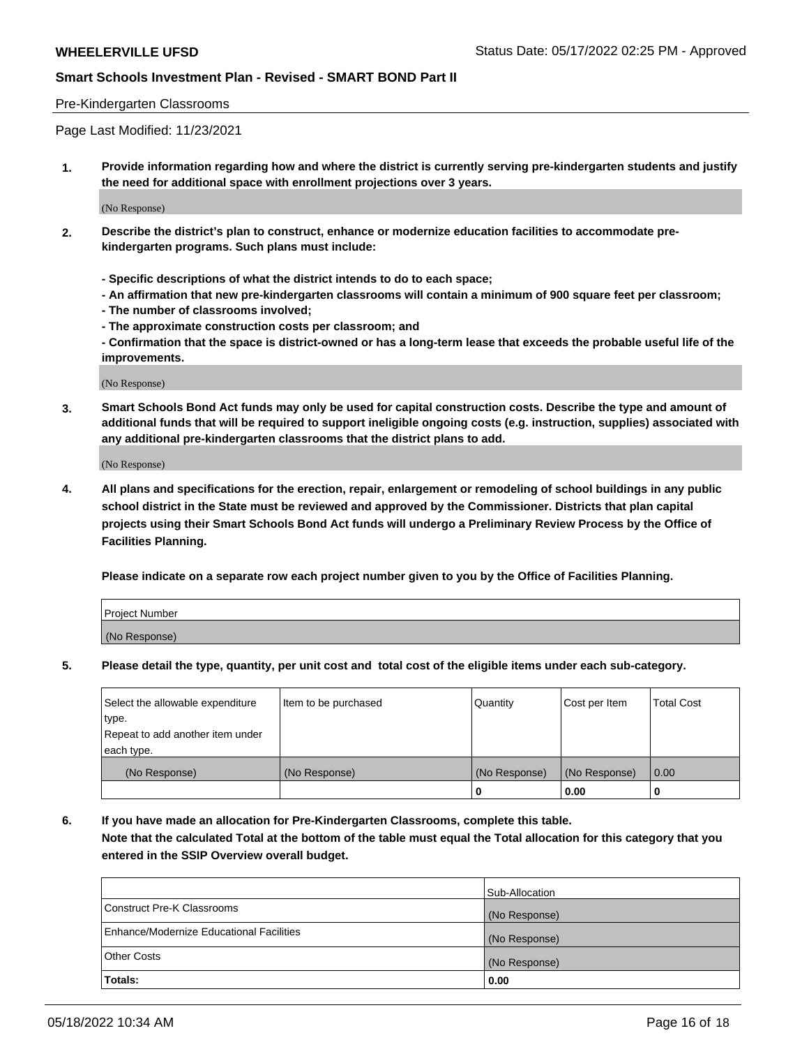#### Pre-Kindergarten Classrooms

Page Last Modified: 11/23/2021

**1. Provide information regarding how and where the district is currently serving pre-kindergarten students and justify the need for additional space with enrollment projections over 3 years.**

(No Response)

- **2. Describe the district's plan to construct, enhance or modernize education facilities to accommodate prekindergarten programs. Such plans must include:**
	- **Specific descriptions of what the district intends to do to each space;**
	- **An affirmation that new pre-kindergarten classrooms will contain a minimum of 900 square feet per classroom;**
	- **The number of classrooms involved;**
	- **The approximate construction costs per classroom; and**
	- **Confirmation that the space is district-owned or has a long-term lease that exceeds the probable useful life of the improvements.**

(No Response)

**3. Smart Schools Bond Act funds may only be used for capital construction costs. Describe the type and amount of additional funds that will be required to support ineligible ongoing costs (e.g. instruction, supplies) associated with any additional pre-kindergarten classrooms that the district plans to add.**

(No Response)

**4. All plans and specifications for the erection, repair, enlargement or remodeling of school buildings in any public school district in the State must be reviewed and approved by the Commissioner. Districts that plan capital projects using their Smart Schools Bond Act funds will undergo a Preliminary Review Process by the Office of Facilities Planning.**

**Please indicate on a separate row each project number given to you by the Office of Facilities Planning.**

| Project Number |  |
|----------------|--|
| (No Response)  |  |

**5. Please detail the type, quantity, per unit cost and total cost of the eligible items under each sub-category.**

| Select the allowable expenditure | Item to be purchased | Quantity      | Cost per Item | <b>Total Cost</b> |
|----------------------------------|----------------------|---------------|---------------|-------------------|
| type.                            |                      |               |               |                   |
| Repeat to add another item under |                      |               |               |                   |
| each type.                       |                      |               |               |                   |
| (No Response)                    | (No Response)        | (No Response) | (No Response) | 0.00              |
|                                  |                      | 0             | 0.00          |                   |

**6. If you have made an allocation for Pre-Kindergarten Classrooms, complete this table.**

**Note that the calculated Total at the bottom of the table must equal the Total allocation for this category that you entered in the SSIP Overview overall budget.**

|                                          | Sub-Allocation |
|------------------------------------------|----------------|
| Construct Pre-K Classrooms               | (No Response)  |
| Enhance/Modernize Educational Facilities | (No Response)  |
| <b>Other Costs</b>                       | (No Response)  |
| Totals:                                  | 0.00           |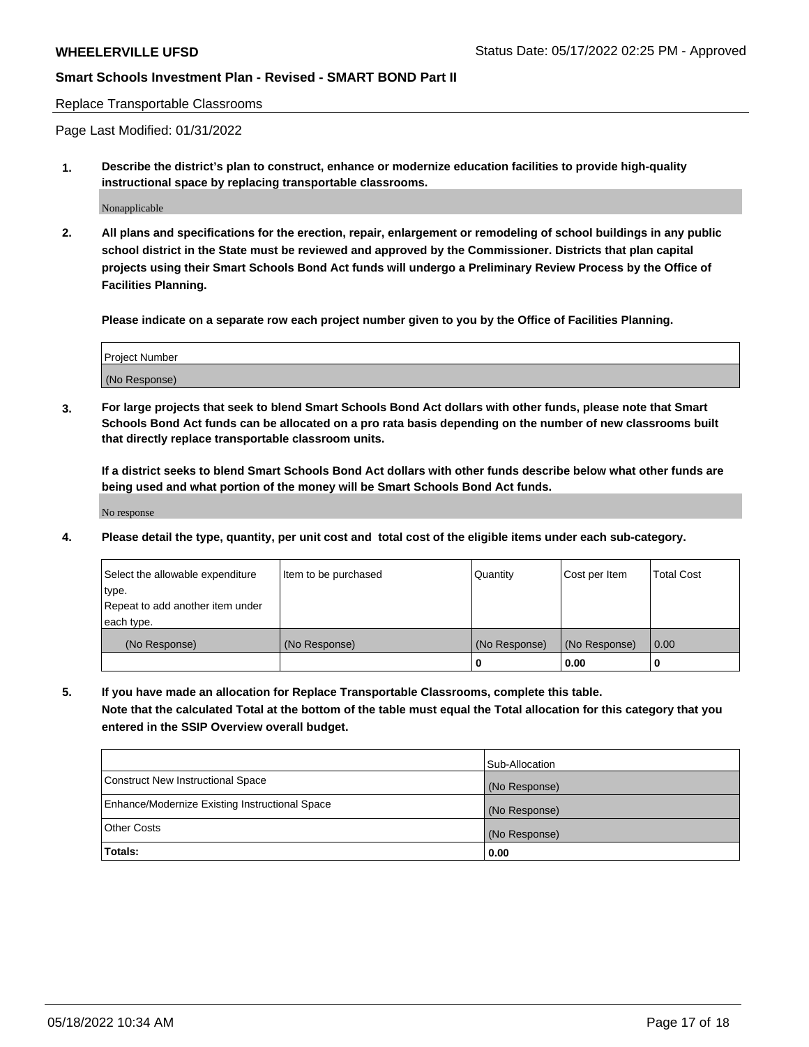Replace Transportable Classrooms

Page Last Modified: 01/31/2022

**1. Describe the district's plan to construct, enhance or modernize education facilities to provide high-quality instructional space by replacing transportable classrooms.**

Nonapplicable

**2. All plans and specifications for the erection, repair, enlargement or remodeling of school buildings in any public school district in the State must be reviewed and approved by the Commissioner. Districts that plan capital projects using their Smart Schools Bond Act funds will undergo a Preliminary Review Process by the Office of Facilities Planning.**

**Please indicate on a separate row each project number given to you by the Office of Facilities Planning.**

| <b>Project Number</b> |  |
|-----------------------|--|
| (No Response)         |  |

**3. For large projects that seek to blend Smart Schools Bond Act dollars with other funds, please note that Smart Schools Bond Act funds can be allocated on a pro rata basis depending on the number of new classrooms built that directly replace transportable classroom units.**

**If a district seeks to blend Smart Schools Bond Act dollars with other funds describe below what other funds are being used and what portion of the money will be Smart Schools Bond Act funds.**

No response

**4. Please detail the type, quantity, per unit cost and total cost of the eligible items under each sub-category.**

| Select the allowable expenditure | Item to be purchased | Quantity      | Cost per Item | <b>Total Cost</b> |
|----------------------------------|----------------------|---------------|---------------|-------------------|
| type.                            |                      |               |               |                   |
| Repeat to add another item under |                      |               |               |                   |
| each type.                       |                      |               |               |                   |
| (No Response)                    | (No Response)        | (No Response) | (No Response) | 0.00              |
|                                  |                      | U             | 0.00          |                   |

**5. If you have made an allocation for Replace Transportable Classrooms, complete this table.**

**Note that the calculated Total at the bottom of the table must equal the Total allocation for this category that you entered in the SSIP Overview overall budget.**

|                                                | Sub-Allocation |
|------------------------------------------------|----------------|
| Construct New Instructional Space              | (No Response)  |
| Enhance/Modernize Existing Instructional Space | (No Response)  |
| <b>Other Costs</b>                             | (No Response)  |
| Totals:                                        | 0.00           |